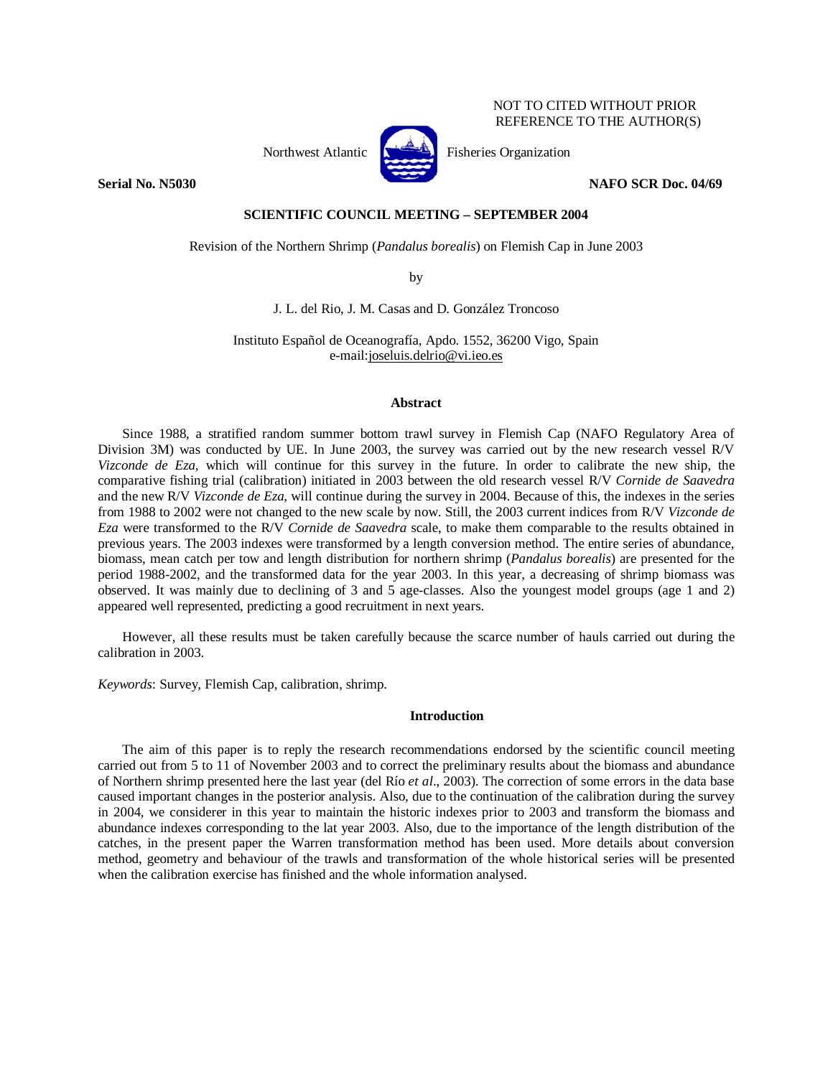NOT TO CITED WITHOUT PRIOR REFERENCE TO THE AUTHOR(S)

**Serial No. N5030** NAFO SCR Doc. 04/69

# **SCIENTIFIC COUNCIL MEETING – SEPTEMBER 2004**

Northwest Atlantic  $\begin{bmatrix} 1 & 1 \\ 1 & 1 \end{bmatrix}$  Fisheries Organization

Revision of the Northern Shrimp (*Pandalus borealis*) on Flemish Cap in June 2003

by

J. L. del Rio, J. M. Casas and D. González Troncoso

Instituto Español de Oceanografía, Apdo. 1552, 36200 Vigo, Spain e-mail:joseluis.delrio@vi.ieo.es

## **Abstract**

Since 1988, a stratified random summer bottom trawl survey in Flemish Cap (NAFO Regulatory Area of Division 3M) was conducted by UE. In June 2003, the survey was carried out by the new research vessel R/V *Vizconde de Eza,* which will continue for this survey in the future. In order to calibrate the new ship, the comparative fishing trial (calibration) initiated in 2003 between the old research vessel R/V *Cornide de Saavedra*  and the new R/V *Vizconde de Eza,* will continue during the survey in 2004. Because of this, the indexes in the series from 1988 to 2002 were not changed to the new scale by now. Still, the 2003 current indices from R/V *Vizconde de Eza* were transformed to the R/V *Cornide de Saavedra* scale, to make them comparable to the results obtained in previous years. The 2003 indexes were transformed by a length conversion method. The entire series of abundance, biomass, mean catch per tow and length distribution for northern shrimp (*Pandalus borealis*) are presented for the period 1988-2002, and the transformed data for the year 2003. In this year, a decreasing of shrimp biomass was observed. It was mainly due to declining of 3 and 5 age-classes. Also the youngest model groups (age 1 and 2) appeared well represented, predicting a good recruitment in next years.

However, all these results must be taken carefully because the scarce number of hauls carried out during the calibration in 2003.

*Keywords*: Survey, Flemish Cap, calibration, shrimp.

## **Introduction**

The aim of this paper is to reply the research recommendations endorsed by the scientific council meeting carried out from 5 to 11 of November 2003 and to correct the preliminary results about the biomass and abundance of Northern shrimp presented here the last year (del Río *et al*., 2003). The correction of some errors in the data base caused important changes in the posterior analysis. Also, due to the continuation of the calibration during the survey in 2004, we considerer in this year to maintain the historic indexes prior to 2003 and transform the biomass and abundance indexes corresponding to the lat year 2003. Also, due to the importance of the length distribution of the catches, in the present paper the Warren transformation method has been used. More details about conversion method, geometry and behaviour of the trawls and transformation of the whole historical series will be presented when the calibration exercise has finished and the whole information analysed.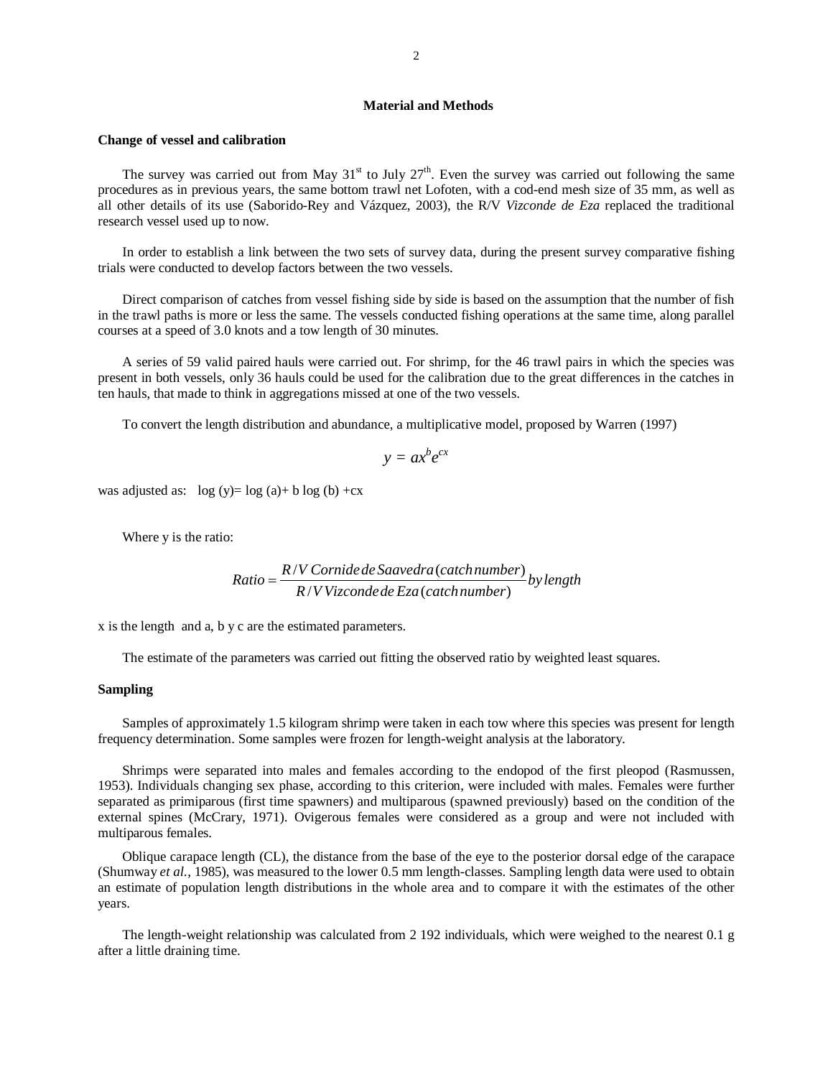## **Material and Methods**

#### **Change of vessel and calibration**

The survey was carried out from May  $31<sup>st</sup>$  to July  $27<sup>th</sup>$ . Even the survey was carried out following the same procedures as in previous years, the same bottom trawl net Lofoten, with a cod-end mesh size of 35 mm, as well as all other details of its use (Saborido-Rey and Vázquez, 2003), the R/V *Vizconde de Eza* replaced the traditional research vessel used up to now.

In order to establish a link between the two sets of survey data, during the present survey comparative fishing trials were conducted to develop factors between the two vessels.

Direct comparison of catches from vessel fishing side by side is based on the assumption that the number of fish in the trawl paths is more or less the same. The vessels conducted fishing operations at the same time, along parallel courses at a speed of 3.0 knots and a tow length of 30 minutes.

A series of 59 valid paired hauls were carried out. For shrimp, for the 46 trawl pairs in which the species was present in both vessels, only 36 hauls could be used for the calibration due to the great differences in the catches in ten hauls, that made to think in aggregations missed at one of the two vessels.

To convert the length distribution and abundance, a multiplicative model, proposed by Warren (1997)

$$
y = ax^b e^{cx}
$$

was adjusted as:  $log (y) = log (a) + b log (b) + cx$ 

Where y is the ratio:

Ratio = 
$$
\frac{R/V \text{ Cornide de Saavedra (catch number)}}{R/V \text{ Vizconde de Eza (catch number)}}
$$
 by length

x is the length and a, b y c are the estimated parameters.

The estimate of the parameters was carried out fitting the observed ratio by weighted least squares.

### **Sampling**

Samples of approximately 1.5 kilogram shrimp were taken in each tow where this species was present for length frequency determination. Some samples were frozen for length-weight analysis at the laboratory.

Shrimps were separated into males and females according to the endopod of the first pleopod (Rasmussen, 1953). Individuals changing sex phase, according to this criterion, were included with males. Females were further separated as primiparous (first time spawners) and multiparous (spawned previously) based on the condition of the external spines (McCrary, 1971). Ovigerous females were considered as a group and were not included with multiparous females.

Oblique carapace length (CL), the distance from the base of the eye to the posterior dorsal edge of the carapace (Shumway *et al.,* 1985), was measured to the lower 0.5 mm length-classes. Sampling length data were used to obtain an estimate of population length distributions in the whole area and to compare it with the estimates of the other years.

The length-weight relationship was calculated from 2 192 individuals, which were weighed to the nearest 0.1 g after a little draining time.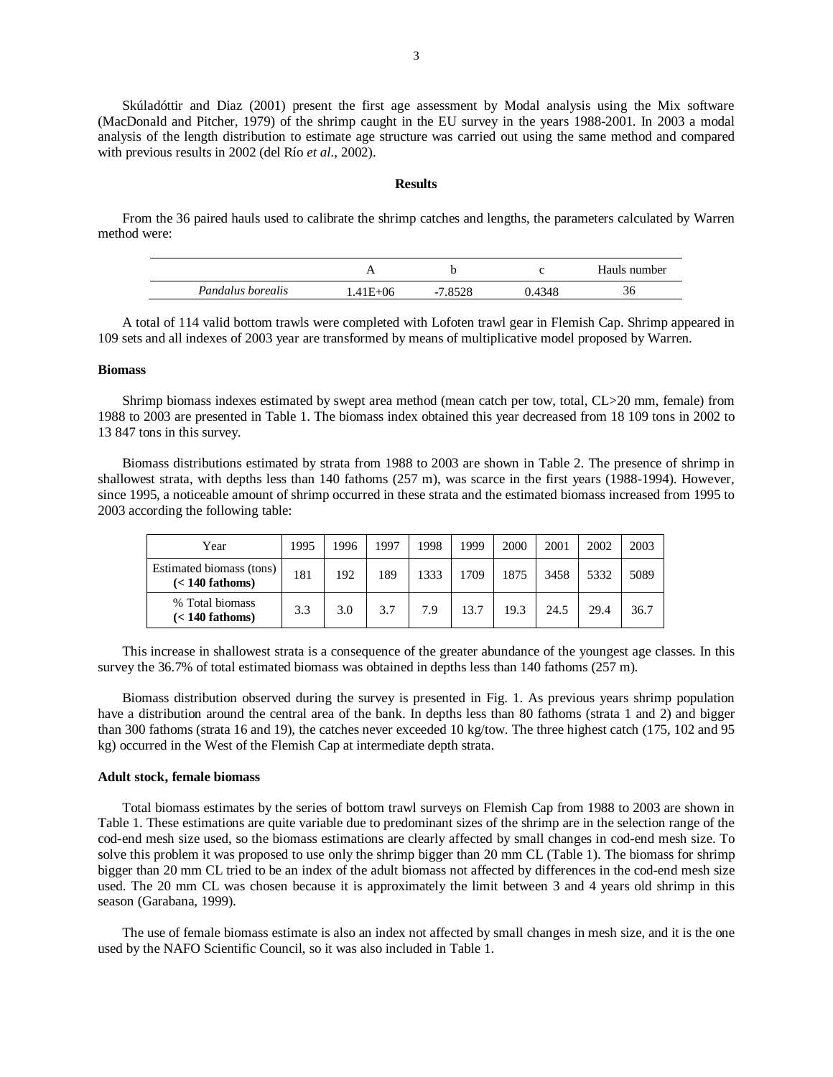Skúladóttir and Diaz (2001) present the first age assessment by Modal analysis using the Mix software (MacDonald and Pitcher, 1979) of the shrimp caught in the EU survey in the years 1988-2001. In 2003 a modal analysis of the length distribution to estimate age structure was carried out using the same method and compared with previous results in 2002 (del Río *et al*., 2002).

### **Results**

From the 36 paired hauls used to calibrate the shrimp catches and lengths, the parameters calculated by Warren method were:

|                   |         |       |       | Hauls number |
|-------------------|---------|-------|-------|--------------|
| Pandalus borealis | .41E+06 | .8528 | .4348 | 30           |

A total of 114 valid bottom trawls were completed with Lofoten trawl gear in Flemish Cap. Shrimp appeared in 109 sets and all indexes of 2003 year are transformed by means of multiplicative model proposed by Warren.

#### **Biomass**

Shrimp biomass indexes estimated by swept area method (mean catch per tow, total, CL>20 mm, female) from 1988 to 2003 are presented in Table 1. The biomass index obtained this year decreased from 18 109 tons in 2002 to 13 847 tons in this survey.

Biomass distributions estimated by strata from 1988 to 2003 are shown in Table 2. The presence of shrimp in shallowest strata, with depths less than 140 fathoms (257 m), was scarce in the first years (1988-1994). However, since 1995, a noticeable amount of shrimp occurred in these strata and the estimated biomass increased from 1995 to 2003 according the following table:

| Year                                          | 1995 | 1996 | 1997 | 1998 | 1999 | 2000 | 2001 | 2002 | 2003 |
|-----------------------------------------------|------|------|------|------|------|------|------|------|------|
| Estimated biomass (tons)<br>$(< 140$ fathoms) | 181  | 192  | 189  | 1333 | 1709 | 1875 | 3458 | 5332 | 5089 |
| % Total biomass<br>$(< 140$ fathoms)          | 3.3  | 3.0  | 3.7  | 7.9  | 13.7 | 19.3 | 24.5 | 29.4 | 36.7 |

This increase in shallowest strata is a consequence of the greater abundance of the youngest age classes. In this survey the 36.7% of total estimated biomass was obtained in depths less than 140 fathoms (257 m).

Biomass distribution observed during the survey is presented in Fig. 1. As previous years shrimp population have a distribution around the central area of the bank. In depths less than 80 fathoms (strata 1 and 2) and bigger than 300 fathoms (strata 16 and 19), the catches never exceeded 10 kg/tow. The three highest catch (175, 102 and 95 kg) occurred in the West of the Flemish Cap at intermediate depth strata.

#### **Adult stock, female biomass**

Total biomass estimates by the series of bottom trawl surveys on Flemish Cap from 1988 to 2003 are shown in Table 1. These estimations are quite variable due to predominant sizes of the shrimp are in the selection range of the cod-end mesh size used, so the biomass estimations are clearly affected by small changes in cod-end mesh size. To solve this problem it was proposed to use only the shrimp bigger than 20 mm CL (Table 1). The biomass for shrimp bigger than 20 mm CL tried to be an index of the adult biomass not affected by differences in the cod-end mesh size used. The 20 mm CL was chosen because it is approximately the limit between 3 and 4 years old shrimp in this season (Garabana, 1999).

The use of female biomass estimate is also an index not affected by small changes in mesh size, and it is the one used by the NAFO Scientific Council, so it was also included in Table 1.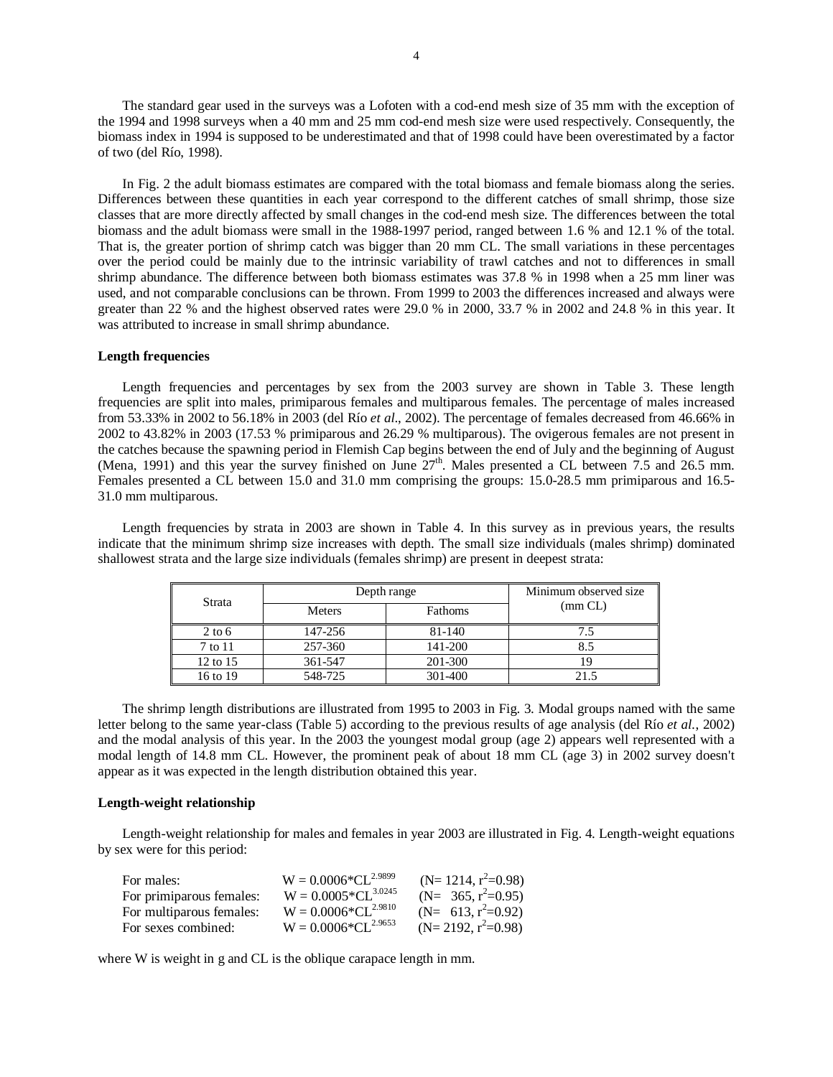The standard gear used in the surveys was a Lofoten with a cod-end mesh size of 35 mm with the exception of the 1994 and 1998 surveys when a 40 mm and 25 mm cod-end mesh size were used respectively. Consequently, the biomass index in 1994 is supposed to be underestimated and that of 1998 could have been overestimated by a factor of two (del Río, 1998).

In Fig. 2 the adult biomass estimates are compared with the total biomass and female biomass along the series. Differences between these quantities in each year correspond to the different catches of small shrimp, those size classes that are more directly affected by small changes in the cod-end mesh size. The differences between the total biomass and the adult biomass were small in the 1988-1997 period, ranged between 1.6 % and 12.1 % of the total. That is, the greater portion of shrimp catch was bigger than 20 mm CL. The small variations in these percentages over the period could be mainly due to the intrinsic variability of trawl catches and not to differences in small shrimp abundance. The difference between both biomass estimates was 37.8 % in 1998 when a 25 mm liner was used, and not comparable conclusions can be thrown. From 1999 to 2003 the differences increased and always were greater than 22 % and the highest observed rates were 29.0 % in 2000, 33.7 % in 2002 and 24.8 % in this year. It was attributed to increase in small shrimp abundance.

### **Length frequencies**

Length frequencies and percentages by sex from the 2003 survey are shown in Table 3. These length frequencies are split into males, primiparous females and multiparous females. The percentage of males increased from 53.33% in 2002 to 56.18% in 2003 (del Río *et al*., 2002). The percentage of females decreased from 46.66% in 2002 to 43.82% in 2003 (17.53 % primiparous and 26.29 % multiparous). The ovigerous females are not present in the catches because the spawning period in Flemish Cap begins between the end of July and the beginning of August (Mena, 1991) and this year the survey finished on June  $27<sup>th</sup>$ . Males presented a CL between 7.5 and 26.5 mm. Females presented a CL between 15.0 and 31.0 mm comprising the groups: 15.0-28.5 mm primiparous and 16.5- 31.0 mm multiparous.

Length frequencies by strata in 2003 are shown in Table 4. In this survey as in previous years, the results indicate that the minimum shrimp size increases with depth. The small size individuals (males shrimp) dominated shallowest strata and the large size individuals (females shrimp) are present in deepest strata:

| Strata            |               | Depth range |                  |  |  |  |  |  |  |  |
|-------------------|---------------|-------------|------------------|--|--|--|--|--|--|--|
|                   | <b>Meters</b> | Fathoms     | $\text{(mm CL)}$ |  |  |  |  |  |  |  |
| $2 \text{ to } 6$ | 147-256       | 81-140      |                  |  |  |  |  |  |  |  |
| 7 to 11           | 257-360       | 141-200     | 8.5              |  |  |  |  |  |  |  |
| 12 to 15          | 361-547       | 201-300     |                  |  |  |  |  |  |  |  |
| 16 to 19          | 548-725       | 301-400     | 21.5             |  |  |  |  |  |  |  |

The shrimp length distributions are illustrated from 1995 to 2003 in Fig. 3. Modal groups named with the same letter belong to the same year-class (Table 5) according to the previous results of age analysis (del Río *et al.*, 2002) and the modal analysis of this year. In the 2003 the youngest modal group (age 2) appears well represented with a modal length of 14.8 mm CL. However, the prominent peak of about 18 mm CL (age 3) in 2002 survey doesn't appear as it was expected in the length distribution obtained this year.

#### **Length-weight relationship**

Length-weight relationship for males and females in year 2003 are illustrated in Fig. 4. Length-weight equations by sex were for this period:

| For males:               | $W = 0.0006*CL^{2.9899}$        | (N= 1214, $r^2=0.98$ ) |
|--------------------------|---------------------------------|------------------------|
| For primiparous females: | $W = 0.0005 \times CL^{3.0245}$ | $(N=365, r^2=0.95)$    |
| For multiparous females: | $W = 0.0006 * CL^{2.9810}$      | (N= $613, r^2=0.92$ )  |
| For sexes combined:      | $W = 0.0006 \times CL^{2.9653}$ | $(N=2192, r^2=0.98)$   |

where W is weight in g and CL is the oblique carapace length in mm.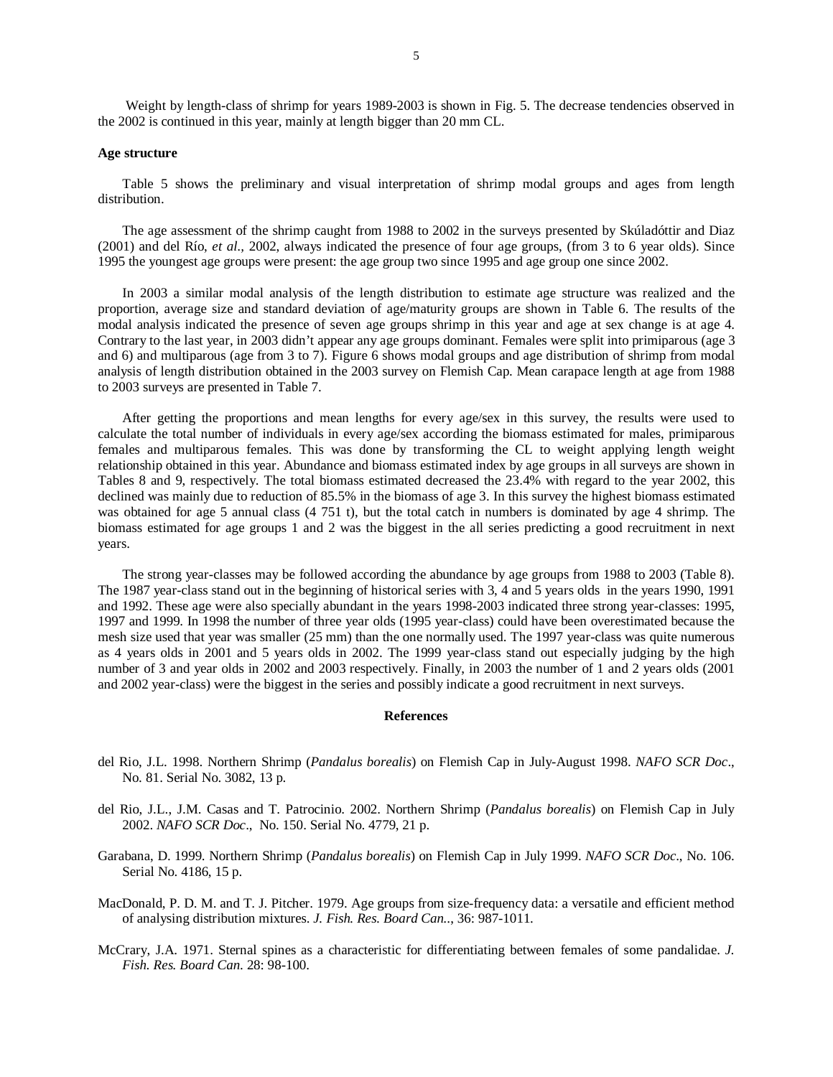Weight by length-class of shrimp for years 1989-2003 is shown in Fig. 5. The decrease tendencies observed in the 2002 is continued in this year, mainly at length bigger than 20 mm CL.

#### **Age structure**

Table 5 shows the preliminary and visual interpretation of shrimp modal groups and ages from length distribution.

The age assessment of the shrimp caught from 1988 to 2002 in the surveys presented by Skúladóttir and Diaz (2001) and del Río, *et al.,* 2002, always indicated the presence of four age groups, (from 3 to 6 year olds). Since 1995 the youngest age groups were present: the age group two since 1995 and age group one since 2002.

In 2003 a similar modal analysis of the length distribution to estimate age structure was realized and the proportion, average size and standard deviation of age/maturity groups are shown in Table 6. The results of the modal analysis indicated the presence of seven age groups shrimp in this year and age at sex change is at age 4. Contrary to the last year, in 2003 didn't appear any age groups dominant. Females were split into primiparous (age 3 and 6) and multiparous (age from 3 to 7). Figure 6 shows modal groups and age distribution of shrimp from modal analysis of length distribution obtained in the 2003 survey on Flemish Cap. Mean carapace length at age from 1988 to 2003 surveys are presented in Table 7.

After getting the proportions and mean lengths for every age/sex in this survey, the results were used to calculate the total number of individuals in every age/sex according the biomass estimated for males, primiparous females and multiparous females. This was done by transforming the CL to weight applying length weight relationship obtained in this year. Abundance and biomass estimated index by age groups in all surveys are shown in Tables 8 and 9, respectively. The total biomass estimated decreased the 23.4% with regard to the year 2002, this declined was mainly due to reduction of 85.5% in the biomass of age 3. In this survey the highest biomass estimated was obtained for age 5 annual class (4 751 t), but the total catch in numbers is dominated by age 4 shrimp. The biomass estimated for age groups 1 and 2 was the biggest in the all series predicting a good recruitment in next years.

The strong year-classes may be followed according the abundance by age groups from 1988 to 2003 (Table 8). The 1987 year-class stand out in the beginning of historical series with 3, 4 and 5 years olds in the years 1990, 1991 and 1992. These age were also specially abundant in the years 1998-2003 indicated three strong year-classes: 1995, 1997 and 1999. In 1998 the number of three year olds (1995 year-class) could have been overestimated because the mesh size used that year was smaller (25 mm) than the one normally used. The 1997 year-class was quite numerous as 4 years olds in 2001 and 5 years olds in 2002. The 1999 year-class stand out especially judging by the high number of 3 and year olds in 2002 and 2003 respectively. Finally, in 2003 the number of 1 and 2 years olds (2001 and 2002 year-class) were the biggest in the series and possibly indicate a good recruitment in next surveys.

## **References**

- del Rio, J.L. 1998. Northern Shrimp (*Pandalus borealis*) on Flemish Cap in July-August 1998. *NAFO SCR Doc*., No. 81. Serial No. 3082, 13 p.
- del Rio, J.L., J.M. Casas and T. Patrocinio. 2002. Northern Shrimp (*Pandalus borealis*) on Flemish Cap in July 2002. *NAFO SCR Doc*., No. 150. Serial No. 4779, 21 p.
- Garabana, D. 1999. Northern Shrimp (*Pandalus borealis*) on Flemish Cap in July 1999. *NAFO SCR Doc*., No. 106. Serial No. 4186, 15 p.
- MacDonald, P. D. M. and T. J. Pitcher. 1979. Age groups from size-frequency data: a versatile and efficient method of analysing distribution mixtures. *J. Fish. Res. Board Can.*., 36: 987-1011.
- McCrary, J.A. 1971. Sternal spines as a characteristic for differentiating between females of some pandalidae. *J. Fish. Res. Board Can*. 28: 98-100.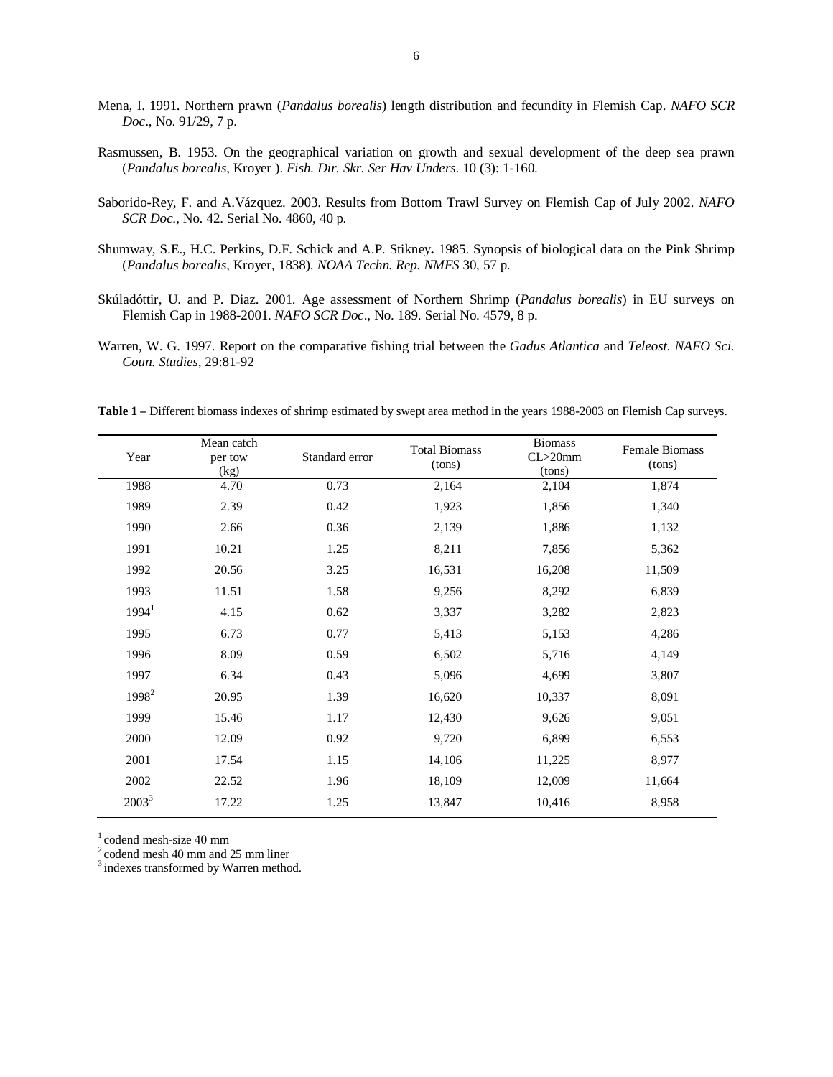- Mena, I. 1991. Northern prawn (*Pandalus borealis*) length distribution and fecundity in Flemish Cap. *NAFO SCR Doc*., No. 91/29, 7 p.
- Rasmussen, B. 1953. On the geographical variation on growth and sexual development of the deep sea prawn (*Pandalus borealis*, Kroyer ). *Fish. Dir. Skr. Ser Hav Unders*. 10 (3): 1-160.
- Saborido-Rey, F. and A.Vázquez. 2003. Results from Bottom Trawl Survey on Flemish Cap of July 2002. *NAFO SCR Doc*., No. 42. Serial No. 4860, 40 p.
- Shumway, S.E., H.C. Perkins, D.F. Schick and A.P. Stikney**.** 1985. Synopsis of biological data on the Pink Shrimp (*Pandalus borealis*, Kroyer, 1838). *NOAA Techn. Rep. NMFS* 30, 57 p.
- Skúladóttir, U. and P. Diaz. 2001. Age assessment of Northern Shrimp (*Pandalus borealis*) in EU surveys on Flemish Cap in 1988-2001. *NAFO SCR Doc*., No. 189. Serial No. 4579, 8 p.
- Warren, W. G. 1997. Report on the comparative fishing trial between the *Gadus Atlantica* and *Teleost. NAFO Sci. Coun. Studies,* 29:81-92

**Table 1 –** Different biomass indexes of shrimp estimated by swept area method in the years 1988-2003 on Flemish Cap surveys.

| Year              | Mean catch<br>per tow<br>(kg) | Standard error | <b>Total Biomass</b><br>(tons) | <b>Biomass</b><br>$CL > 20$ mm<br>(tons) | Female Biomass<br>(tons) |
|-------------------|-------------------------------|----------------|--------------------------------|------------------------------------------|--------------------------|
| 1988              | 4.70                          | 0.73           | 2,164                          | 2,104                                    | 1,874                    |
| 1989              | 2.39                          | 0.42           | 1,923                          | 1,856                                    | 1,340                    |
| 1990              | 2.66                          | 0.36           | 2,139                          | 1,886                                    | 1,132                    |
| 1991              | 10.21                         | 1.25           | 8,211                          | 7,856                                    | 5,362                    |
| 1992              | 20.56                         | 3.25           | 16,531                         | 16,208                                   | 11,509                   |
| 1993              | 11.51                         | 1.58           | 9,256                          | 8,292                                    | 6,839                    |
| 1994 <sup>1</sup> | 4.15                          | 0.62           | 3,337                          | 3,282                                    | 2,823                    |
| 1995              | 6.73                          | 0.77           | 5,413                          | 5,153                                    | 4,286                    |
| 1996              | 8.09                          | 0.59           | 6,502                          | 5,716                                    | 4,149                    |
| 1997              | 6.34                          | 0.43           | 5,096                          | 4,699                                    | 3,807                    |
| 1998 <sup>2</sup> | 20.95                         | 1.39           | 16,620                         | 10,337                                   | 8,091                    |
| 1999              | 15.46                         | 1.17           | 12,430                         | 9,626                                    | 9,051                    |
| 2000              | 12.09                         | 0.92           | 9,720                          | 6,899                                    | 6,553                    |
| 2001              | 17.54                         | 1.15           | 14,106                         | 11,225                                   | 8,977                    |
| 2002              | 22.52                         | 1.96           | 18,109                         | 12,009                                   | 11,664                   |
| $2003^3$          | 17.22                         | 1.25           | 13,847                         | 10,416                                   | 8,958                    |

 $1$  codend mesh-size 40 mm

 $2^2$  codend mesh 40 mm and 25 mm liner

<sup>3</sup> indexes transformed by Warren method.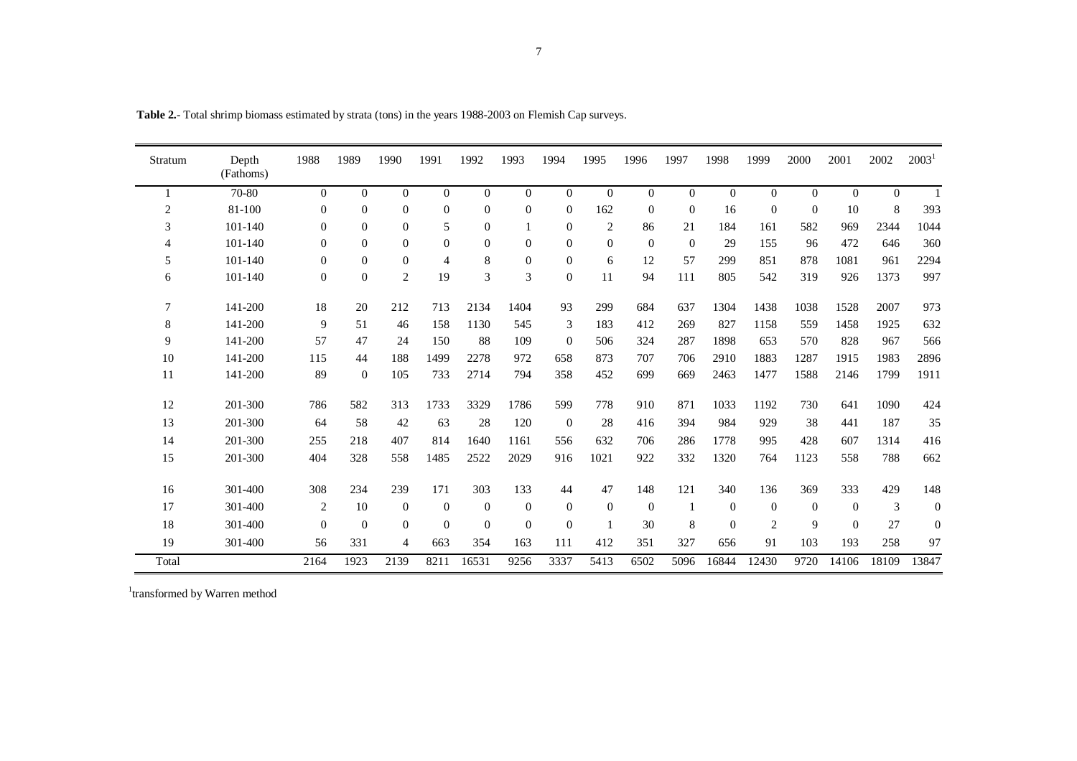| Stratum        | Depth<br>(Fathoms) | 1988           | 1989           | 1990           | 1991           | 1992           | 1993           | 1994             | 1995             | 1996           | 1997           | 1998           | 1999           | 2000           | 2001     | 2002     | 2003 <sup>1</sup> |
|----------------|--------------------|----------------|----------------|----------------|----------------|----------------|----------------|------------------|------------------|----------------|----------------|----------------|----------------|----------------|----------|----------|-------------------|
|                | 70-80              | $\overline{0}$ | $\overline{0}$ | $\overline{0}$ | $\overline{0}$ | $\overline{0}$ | $\overline{0}$ | $\mathbf{0}$     | $\mathbf{0}$     | $\overline{0}$ | $\overline{0}$ | $\overline{0}$ | $\overline{0}$ | $\overline{0}$ | $\theta$ | $\theta$ |                   |
| $\overline{c}$ | 81-100             | $\Omega$       | $\Omega$       | $\Omega$       | $\theta$       | $\Omega$       | $\theta$       | $\overline{0}$   | 162              | $\Omega$       | $\mathbf{0}$   | 16             | $\Omega$       | $\Omega$       | 10       | $\,8\,$  | 393               |
| 3              | 101-140            | $\mathbf{0}$   | $\Omega$       | $\Omega$       | 5              | $\Omega$       |                | $\boldsymbol{0}$ | $\overline{c}$   | 86             | 21             | 184            | 161            | 582            | 969      | 2344     | 1044              |
| 4              | 101-140            | $\Omega$       | $\Omega$       | $\Omega$       | $\theta$       | $\Omega$       | $\overline{0}$ | $\overline{0}$   | $\overline{0}$   | $\Omega$       | $\Omega$       | 29             | 155            | 96             | 472      | 646      | 360               |
| 5              | 101-140            | $\Omega$       | $\Omega$       | $\Omega$       | $\overline{4}$ | 8              | $\mathbf{0}$   | $\boldsymbol{0}$ | 6                | 12             | 57             | 299            | 851            | 878            | 1081     | 961      | 2294              |
| 6              | 101-140            | $\Omega$       | $\Omega$       | 2              | 19             | 3              | 3              | $\boldsymbol{0}$ | 11               | 94             | 111            | 805            | 542            | 319            | 926      | 1373     | 997               |
| 7              | 141-200            | 18             | 20             | 212            | 713            | 2134           | 1404           | 93               | 299              | 684            | 637            | 1304           | 1438           | 1038           | 1528     | 2007     | 973               |
| 8              | 141-200            | 9              | 51             | 46             | 158            | 1130           | 545            | 3                | 183              | 412            | 269            | 827            | 1158           | 559            | 1458     | 1925     | 632               |
| 9              | 141-200            | 57             | 47             | 24             | 150            | 88             | 109            | $\overline{0}$   | 506              | 324            | 287            | 1898           | 653            | 570            | 828      | 967      | 566               |
| 10             | 141-200            | 115            | 44             | 188            | 1499           | 2278           | 972            | 658              | 873              | 707            | 706            | 2910           | 1883           | 1287           | 1915     | 1983     | 2896              |
| 11             | 141-200            | 89             | $\Omega$       | 105            | 733            | 2714           | 794            | 358              | 452              | 699            | 669            | 2463           | 1477           | 1588           | 2146     | 1799     | 1911              |
| 12             | 201-300            | 786            | 582            | 313            | 1733           | 3329           | 1786           | 599              | 778              | 910            | 871            | 1033           | 1192           | 730            | 641      | 1090     | 424               |
| 13             | 201-300            | 64             | 58             | 42             | 63             | 28             | 120            | $\mathbf{0}$     | 28               | 416            | 394            | 984            | 929            | 38             | 441      | 187      | 35                |
| 14             | 201-300            | 255            | 218            | 407            | 814            | 1640           | 1161           | 556              | 632              | 706            | 286            | 1778           | 995            | 428            | 607      | 1314     | 416               |
| 15             | 201-300            | 404            | 328            | 558            | 1485           | 2522           | 2029           | 916              | 1021             | 922            | 332            | 1320           | 764            | 1123           | 558      | 788      | 662               |
| 16             | 301-400            | 308            | 234            | 239            | 171            | 303            | 133            | 44               | 47               | 148            | 121            | 340            | 136            | 369            | 333      | 429      | 148               |
| 17             | 301-400            | 2              | 10             | $\overline{0}$ | $\theta$       | $\mathbf{0}$   | $\mathbf{0}$   | $\overline{0}$   | $\boldsymbol{0}$ | $\overline{0}$ | $\mathbf{1}$   | $\theta$       | $\Omega$       | $\Omega$       | $\theta$ | 3        | $\boldsymbol{0}$  |
| 18             | 301-400            | $\Omega$       | $\Omega$       | $\Omega$       | $\theta$       | $\Omega$       | $\Omega$       | $\overline{0}$   |                  | 30             | 8              | $\Omega$       | $\overline{2}$ | 9              | $\Omega$ | 27       | $\mathbf{0}$      |
| 19             | 301-400            | 56             | 331            | 4              | 663            | 354            | 163            | 111              | 412              | 351            | 327            | 656            | 91             | 103            | 193      | 258      | 97                |
| Total          |                    | 2164           | 1923           | 2139           | 8211           | 16531          | 9256           | 3337             | 5413             | 6502           | 5096           | 16844          | 12430          | 9720           | 14106    | 18109    | 13847             |

**Table 2.**- Total shrimp biomass estimated by strata (tons) in the years 1988-2003 on Flemish Cap surveys.

 ${}^{1}\!$  transformed by Warren method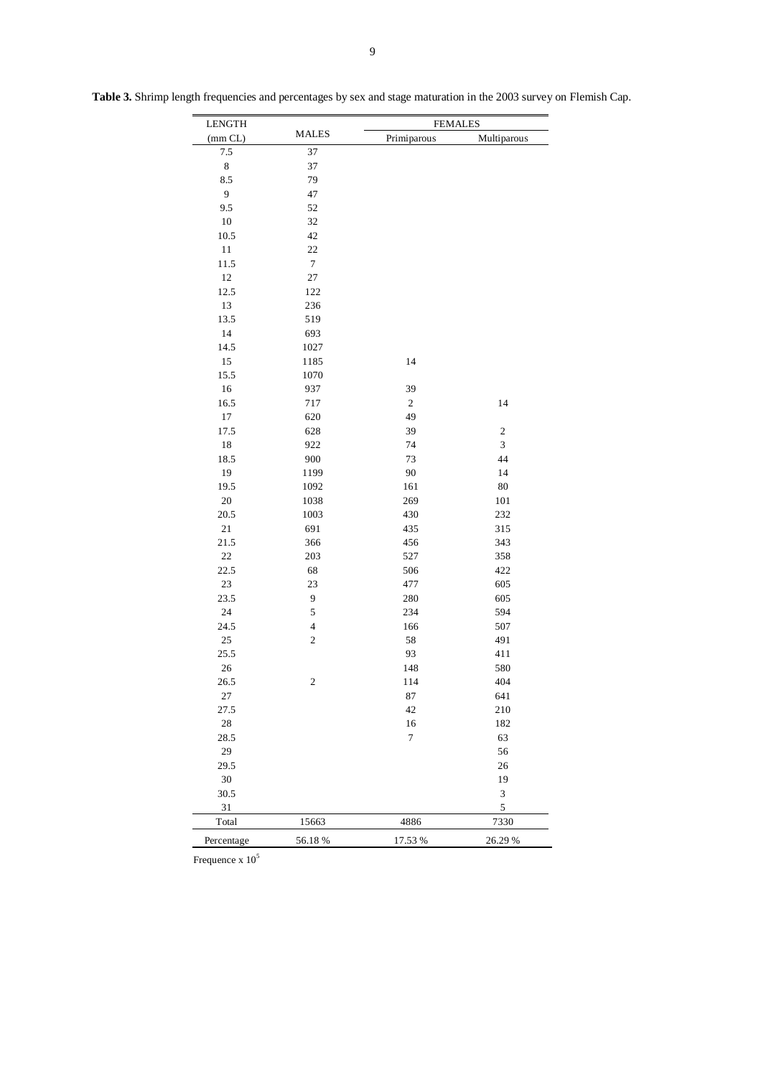| <b>LENGTH</b>  |                | <b>FEMALES</b> |                  |
|----------------|----------------|----------------|------------------|
| (mm CL)        | <b>MALES</b>   | Primiparous    | Multiparous      |
| 7.5            | 37             |                |                  |
| $\,$ 8 $\,$    | 37             |                |                  |
| 8.5            | 79             |                |                  |
| $\overline{9}$ | 47             |                |                  |
| 9.5            | 52             |                |                  |
| 10             | 32             |                |                  |
| 10.5           | 42             |                |                  |
| 11             | 22             |                |                  |
| 11.5           | $\tau$         |                |                  |
| 12             | 27             |                |                  |
| 12.5           | 122            |                |                  |
| 13             | 236            |                |                  |
| 13.5           | 519            |                |                  |
| 14             | 693            |                |                  |
| 14.5           | 1027           |                |                  |
| 15             | 1185           | 14             |                  |
| 15.5           | 1070           |                |                  |
| 16             | 937            | 39             |                  |
| 16.5           | 717            | $\sqrt{2}$     | 14               |
| 17             | 620            | 49             |                  |
| 17.5           | 628            | 39             | $\boldsymbol{2}$ |
| 18             | 922            | 74             | 3                |
| 18.5           | 900            | 73             | 44               |
| 19             | 1199           | 90             | 14               |
| 19.5           | 1092           | 161            | 80               |
| $20\,$         | 1038           | 269            | 101              |
| 20.5           | 1003           | 430            | 232              |
| 21             | 691            | 435            | 315              |
| 21.5           | 366            | 456            | 343              |
| $22\,$         | 203            | 527            | 358              |
| 22.5           | 68             | 506            | 422              |
| 23             | 23             | 477            | 605              |
| 23.5           | $\overline{9}$ | 280            | 605              |
| 24             | $\sqrt{5}$     | 234            | 594              |
| 24.5           | $\overline{4}$ | 166            | 507              |
| 25             | $\sqrt{2}$     | 58             | 491              |
| 25.5           |                | 93             | 411              |
| 26             |                | 148            | 580              |
| 26.5           | 2              | 114            | 404              |
| $27\,$         |                | 87             | 641              |
| 27.5           |                | 42             | 210              |
| 28             |                | 16             | 182              |
| 28.5           |                | $\tau$         | 63               |
| 29             |                |                | 56               |
| 29.5           |                |                | 26               |
| 30             |                |                | 19               |
| 30.5           |                |                | 3                |
| 31             |                |                | 5                |
| Total          | 15663          | 4886           | 7330             |
|                |                |                |                  |
| Percentage     | 56.18%         | 17.53 %        | 26.29 %          |

**Table 3.** Shrimp length frequencies and percentages by sex and stage maturation in the 2003 survey on Flemish Cap.

Frequence  $x 10^5$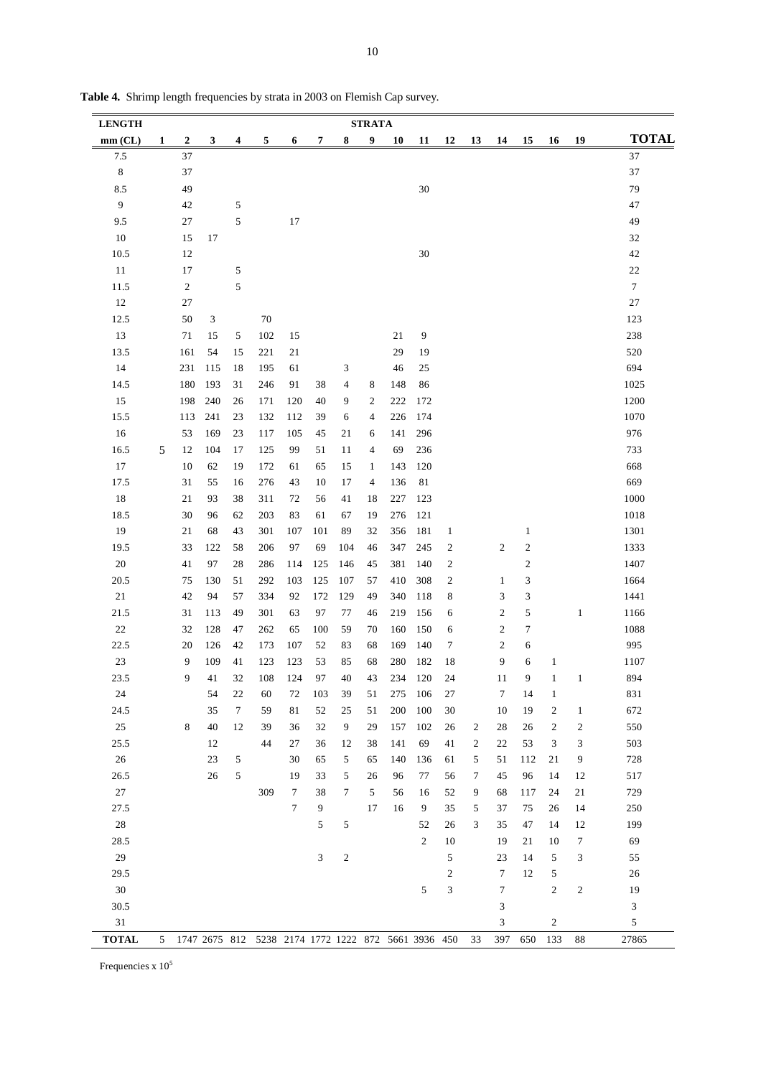| <b>LENGTH</b> | <b>STRATA</b> |                |     |        |                                                     |        |     |                |                |     |              |                             |    |                  |                  |                  |                |                  |
|---------------|---------------|----------------|-----|--------|-----------------------------------------------------|--------|-----|----------------|----------------|-----|--------------|-----------------------------|----|------------------|------------------|------------------|----------------|------------------|
| mm (CL)       | 1             | 2              | 3   | 4      | 5                                                   | 6      | 7   | 8              | 9              | 10  | 11           | 12                          | 13 | 14               | 15               | 16               | 19             | <b>TOTAL</b>     |
| 7.5           |               | 37             |     |        |                                                     |        |     |                |                |     |              |                             |    |                  |                  |                  |                | 37               |
| 8             |               | 37             |     |        |                                                     |        |     |                |                |     |              |                             |    |                  |                  |                  |                | 37               |
| 8.5           |               | 49             |     |        |                                                     |        |     |                |                |     | 30           |                             |    |                  |                  |                  |                | 79               |
| 9             |               | 42             |     | 5      |                                                     |        |     |                |                |     |              |                             |    |                  |                  |                  |                | 47               |
| 9.5           |               | 27             |     | 5      |                                                     | 17     |     |                |                |     |              |                             |    |                  |                  |                  |                | 49               |
| 10            |               | 15             | 17  |        |                                                     |        |     |                |                |     |              |                             |    |                  |                  |                  |                | 32               |
| 10.5          |               | 12             |     |        |                                                     |        |     |                |                |     | 30           |                             |    |                  |                  |                  |                | 42               |
| 11            |               | 17             |     | 5      |                                                     |        |     |                |                |     |              |                             |    |                  |                  |                  |                | $22\,$           |
| 11.5          |               | $\overline{c}$ |     | 5      |                                                     |        |     |                |                |     |              |                             |    |                  |                  |                  |                | $\boldsymbol{7}$ |
| 12            |               | 27             |     |        |                                                     |        |     |                |                |     |              |                             |    |                  |                  |                  |                | $27\,$           |
| 12.5          |               | 50             | 3   |        | 70                                                  |        |     |                |                |     |              |                             |    |                  |                  |                  |                | 123              |
| 13            |               | 71             | 15  | 5      | 102                                                 | 15     |     |                |                | 21  | 9            |                             |    |                  |                  |                  |                | 238              |
| 13.5          |               | 161            | 54  | 15     | 221                                                 | 21     |     |                |                | 29  | 19           |                             |    |                  |                  |                  |                | 520              |
| 14            |               | 231            | 115 | 18     | 195                                                 | 61     |     | 3              |                | 46  | 25           |                             |    |                  |                  |                  |                | 694              |
| 14.5          |               | 180            | 193 | 31     | 246                                                 | 91     | 38  | 4              | 8              | 148 | 86           |                             |    |                  |                  |                  |                | 1025             |
| 15            |               | 198            | 240 | 26     | 171                                                 | 120    | 40  | 9              | $\overline{c}$ | 222 | 172          |                             |    |                  |                  |                  |                | 1200             |
| 15.5          |               | 113            | 241 | 23     | 132                                                 | 112    | 39  | 6              | 4              | 226 | 174          |                             |    |                  |                  |                  |                | 1070             |
| 16            |               | 53             | 169 | 23     | 117                                                 | 105    | 45  | 21             | 6              | 141 | 296          |                             |    |                  |                  |                  |                | 976              |
| 16.5          | 5             | 12             | 104 | 17     | 125                                                 | 99     | 51  | 11             | $\overline{4}$ | 69  | 236          |                             |    |                  |                  |                  |                | 733              |
| 17            |               | 10             | 62  | 19     | 172                                                 | 61     | 65  | 15             | $\mathbf{1}$   | 143 | 120          |                             |    |                  |                  |                  |                | 668              |
| 17.5          |               | 31             | 55  | 16     | 276                                                 | 43     | 10  | 17             | 4              | 136 | 81           |                             |    |                  |                  |                  |                | 669              |
| 18            |               | 21             | 93  | 38     | 311                                                 | 72     | 56  | 41             | 18             | 227 | 123          |                             |    |                  |                  |                  |                | 1000             |
| 18.5          |               | 30             | 96  | 62     | 203                                                 | 83     | 61  | 67             | 19             | 276 | 121          |                             |    |                  |                  |                  |                | 1018             |
| 19            |               | 21             | 68  | 43     | 301                                                 | 107    | 101 | 89             | 32             | 356 | 181          | $\mathbf{1}$                |    |                  | $\mathbf{1}$     |                  |                | 1301             |
| 19.5          |               | 33             | 122 | 58     | 206                                                 | 97     | 69  | 104            | 46             | 347 | 245          | $\overline{c}$              |    | $\boldsymbol{2}$ | $\boldsymbol{2}$ |                  |                | 1333             |
| 20            |               | 41             | 97  | 28     | 286                                                 | 114    | 125 | 146            | 45             | 381 | 140          | $\overline{c}$              |    |                  | $\boldsymbol{2}$ |                  |                | 1407             |
| 20.5          |               | 75             | 130 | 51     | 292                                                 | 103    | 125 | 107            | 57             | 410 | 308          | $\overline{\mathbf{c}}$     |    | $\mathbf{1}$     | 3                |                  |                | 1664             |
| 21            |               | 42             | 94  | 57     | 334                                                 | 92     | 172 | 129            | 49             | 340 | 118          | 8                           |    | 3                | 3                |                  |                | 1441             |
| 21.5          |               | 31             | 113 | 49     | 301                                                 | 63     | 97  | 77             | 46             | 219 | 156          | 6                           |    | $\overline{c}$   | 5                |                  | $\mathbf{1}$   | 1166             |
| 22            |               | 32             | 128 | 47     | 262                                                 | 65     | 100 | 59             | 70             | 160 | 150          | 6                           |    | $\boldsymbol{2}$ | 7                |                  |                | 1088             |
| 22.5          |               | 20             | 126 | 42     | 173                                                 | 107    | 52  | 83             | 68             | 169 | 140          | 7                           |    | $\overline{c}$   | 6                |                  |                | 995              |
| 23            |               | 9              | 109 | 41     | 123                                                 | 123    | 53  | 85             | 68             | 280 | 182          | 18                          |    | 9                | 6                | $\mathbf{1}$     |                | 1107             |
| 23.5          |               | 9              | 41  | 32     | 108                                                 | 124    | 97  | 40             | 43             | 234 | 120          | 24                          |    | 11               | 9                | $\mathbf{1}$     | $\mathbf{1}$   | 894              |
| 24            |               |                | 54  | 22     | 60                                                  | 72     | 103 | 39             | 51             | 275 | 106          | 27                          |    | 7                | 14               | $\mathbf{1}$     |                | 831              |
| 24.5          |               |                | 35  | $\tau$ | 59                                                  | 81     | 52  | 25             | 51             | 200 | 100          | 30                          |    | 10               | 19               | 2                | $\mathbf{1}$   | 672              |
| $25\,$        |               | 8              | 40  | 12     | 39                                                  | 36     | 32  | $\overline{9}$ | 29             | 157 | 102          | 26                          | 2  | 28               | $26\,$           | $\boldsymbol{2}$ | $\overline{c}$ | 550              |
| 25.5          |               |                | 12  |        | 44                                                  | 27     | 36  | 12             | 38             | 141 | 69           | 41                          | 2  | 22               | 53               | 3                | 3              | 503              |
| 26            |               |                | 23  | 5      |                                                     | 30     | 65  | $\sqrt{5}$     | 65             | 140 | 136          | 61                          | 5  | 51               | 112              | 21               | 9              | 728              |
| 26.5          |               |                | 26  | 5      |                                                     | 19     | 33  | 5              | 26             | 96  | 77           | 56                          | 7  | 45               | 96               | 14               | 12             | 517              |
| 27            |               |                |     |        | 309                                                 | 7      | 38  | 7              | 5              | 56  | 16           | 52                          | 9  | 68               | 117              | 24               | 21             | 729              |
| 27.5          |               |                |     |        |                                                     | $\tau$ | 9   |                | 17             | 16  | 9            | 35                          | 5  | 37               | 75               | 26               | 14             | 250              |
| $28\,$        |               |                |     |        |                                                     |        | 5   | 5              |                |     | 52           | 26                          | 3  | 35               | 47               | 14               | 12             | 199              |
| 28.5          |               |                |     |        |                                                     |        |     |                |                |     | $\mathbf{2}$ | 10                          |    | 19               | 21               | 10               | 7              | 69               |
| 29            |               |                |     |        |                                                     |        | 3   | $\overline{c}$ |                |     |              | 5                           |    | 23               | 14               | 5                | 3              | 55               |
| 29.5          |               |                |     |        |                                                     |        |     |                |                |     |              | $\overline{2}$              |    | $\tau$           | 12               | 5                |                | 26               |
| $30\,$        |               |                |     |        |                                                     |        |     |                |                |     | 5            | $\ensuremath{\mathfrak{Z}}$ |    | $\tau$           |                  | $\boldsymbol{2}$ | $\sqrt{2}$     | 19               |
| 30.5          |               |                |     |        |                                                     |        |     |                |                |     |              |                             |    | 3                |                  |                  |                | 3                |
| 31            |               |                |     |        |                                                     |        |     |                |                |     |              |                             |    | 3                |                  | $\boldsymbol{2}$ |                | 5                |
| <b>TOTAL</b>  | 5             |                |     |        | 1747 2675 812 5238 2174 1772 1222 872 5661 3936 450 |        |     |                |                |     |              |                             | 33 | 397              | 650              | 133              | 88             | 27865            |

**Table 4.** Shrimp length frequencies by strata in 2003 on Flemish Cap survey.

Frequencies x  $10^5$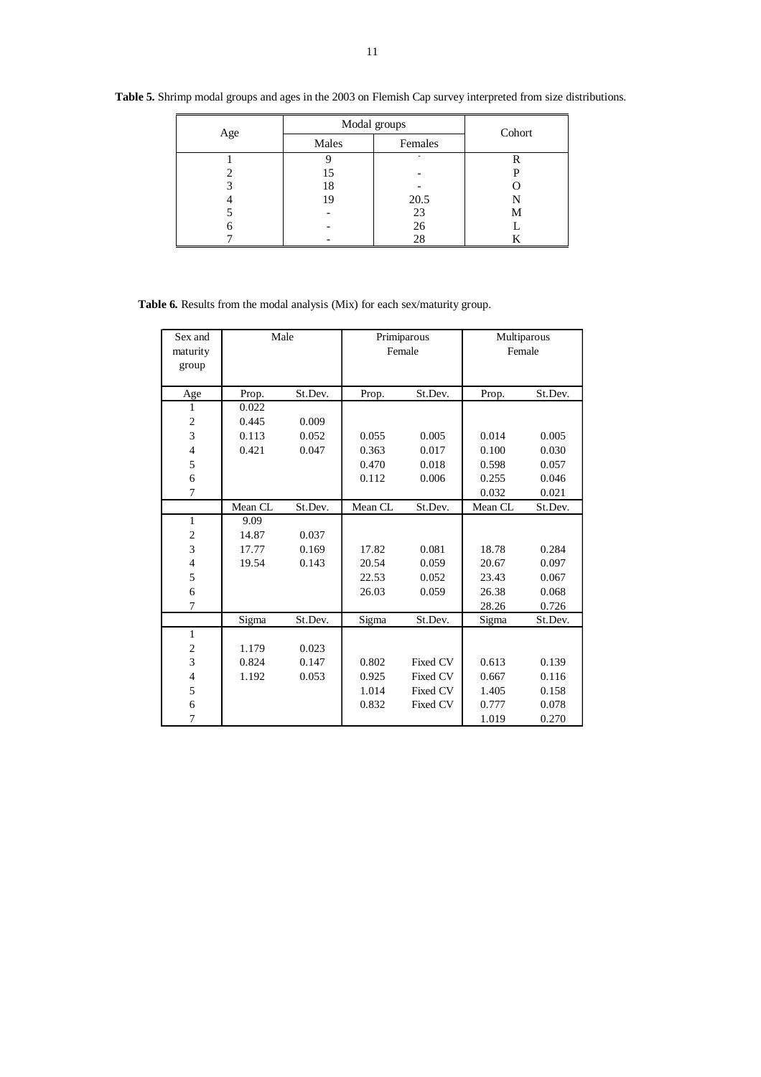| Age |       | Modal groups |        |  |  |  |  |  |  |  |
|-----|-------|--------------|--------|--|--|--|--|--|--|--|
|     | Males | Females      | Cohort |  |  |  |  |  |  |  |
|     |       |              | R      |  |  |  |  |  |  |  |
|     | 15    |              |        |  |  |  |  |  |  |  |
|     | 18    |              |        |  |  |  |  |  |  |  |
|     | 19    | 20.5         | N      |  |  |  |  |  |  |  |
|     |       | 23           | Μ      |  |  |  |  |  |  |  |
|     |       | 26           |        |  |  |  |  |  |  |  |
|     |       | 28           |        |  |  |  |  |  |  |  |

**Table 5.** Shrimp modal groups and ages in the 2003 on Flemish Cap survey interpreted from size distributions.

**Table 6.** Results from the modal analysis (Mix) for each sex/maturity group.

| Sex and                  | Male    |         |         | Primiparous | Multiparous |         |  |  |  |
|--------------------------|---------|---------|---------|-------------|-------------|---------|--|--|--|
| maturity                 |         |         |         | Female      | Female      |         |  |  |  |
|                          |         |         |         |             |             |         |  |  |  |
| group                    |         |         |         |             |             |         |  |  |  |
| Age                      | Prop.   | St.Dev. | Prop.   | St.Dev.     | Prop.       | St.Dev. |  |  |  |
| 1                        | 0.022   |         |         |             |             |         |  |  |  |
| 2                        | 0.445   | 0.009   |         |             |             |         |  |  |  |
| 3                        | 0.113   | 0.052   | 0.055   | 0.005       | 0.014       | 0.005   |  |  |  |
|                          |         |         |         |             |             |         |  |  |  |
| $\overline{\mathcal{L}}$ | 0.421   | 0.047   | 0.363   | 0.017       | 0.100       | 0.030   |  |  |  |
| 5                        |         |         | 0.470   | 0.018       | 0.598       | 0.057   |  |  |  |
| 6                        |         |         | 0.112   | 0.006       | 0.255       | 0.046   |  |  |  |
| 7                        |         |         |         |             | 0.032       | 0.021   |  |  |  |
|                          | Mean CL | St.Dev. | Mean CL | St.Dev.     | Mean CL     | St.Dev. |  |  |  |
| 1                        | 9.09    |         |         |             |             |         |  |  |  |
| $\overline{c}$           | 14.87   | 0.037   |         |             |             |         |  |  |  |
| 3                        | 17.77   | 0.169   | 17.82   | 0.081       | 18.78       | 0.284   |  |  |  |
| 4                        | 19.54   | 0.143   | 20.54   | 0.059       | 20.67       | 0.097   |  |  |  |
| 5                        |         |         | 22.53   | 0.052       | 23.43       | 0.067   |  |  |  |
| 6                        |         |         | 26.03   | 0.059       | 26.38       | 0.068   |  |  |  |
| 7                        |         |         |         |             | 28.26       | 0.726   |  |  |  |
|                          | Sigma   | St.Dev. | Sigma   | St.Dev.     | Sigma       | St.Dev. |  |  |  |
| 1                        |         |         |         |             |             |         |  |  |  |
| 2                        | 1.179   | 0.023   |         |             |             |         |  |  |  |
| 3                        | 0.824   | 0.147   | 0.802   | Fixed CV    | 0.613       | 0.139   |  |  |  |
| $\overline{4}$           | 1.192   | 0.053   | 0.925   | Fixed CV    | 0.667       | 0.116   |  |  |  |
| 5                        |         |         | 1.014   | Fixed CV    | 1.405       | 0.158   |  |  |  |
| 6                        |         |         | 0.832   | Fixed CV    | 0.777       | 0.078   |  |  |  |
| 7                        |         |         |         |             | 1.019       | 0.270   |  |  |  |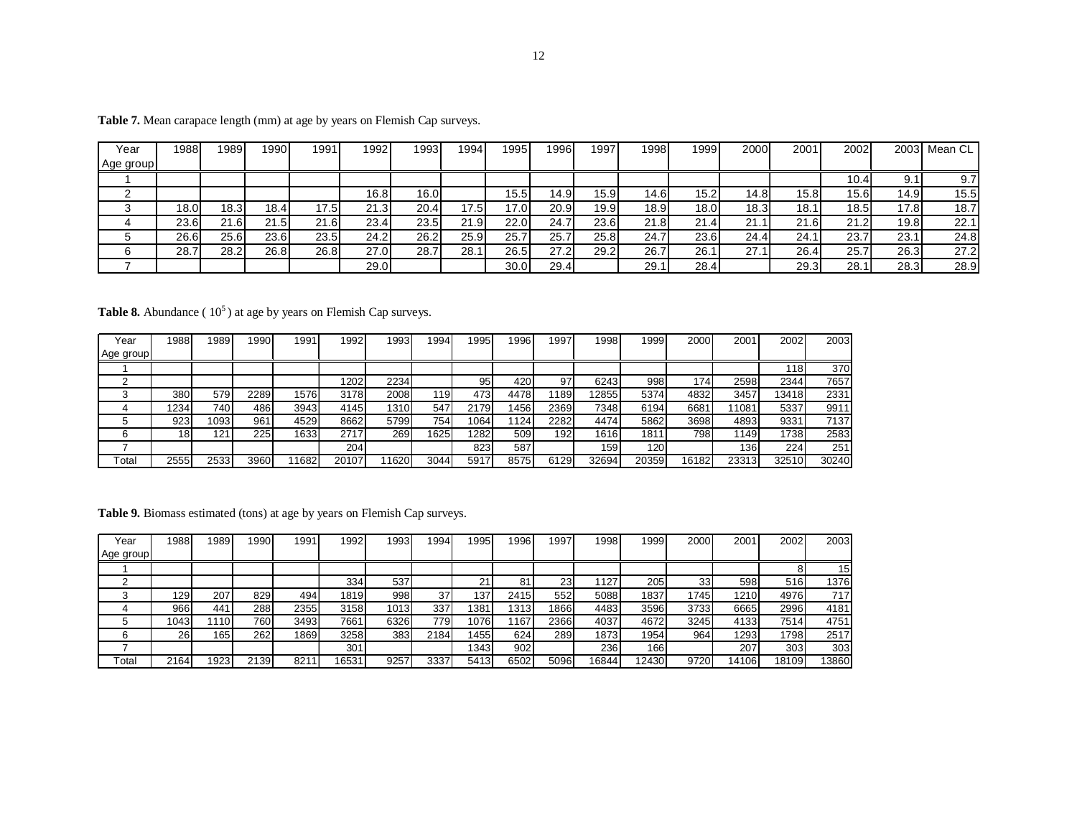| Year      | 1988 | 989  | 1990              | 1991  | 1992 | 1993 | 1994 | 1995  | 996  | 1997 | 1998 | 999  | 2000 | 2001 | 20021             |                   | 2003 Mean CL |
|-----------|------|------|-------------------|-------|------|------|------|-------|------|------|------|------|------|------|-------------------|-------------------|--------------|
| Age group |      |      |                   |       |      |      |      |       |      |      |      |      |      |      |                   |                   |              |
|           |      |      |                   |       |      |      |      |       |      |      |      |      |      |      | 10.4 <sub>1</sub> | 9.1               | 9.7          |
|           |      |      |                   |       | 16.8 | 16.0 |      | 15.5I | 14.9 | 15.9 | 14.6 | 15.2 | 14.8 | 15.8 | 15.6              | 14.9              | 15.5         |
|           | 18.0 | 18.3 | 18.4 <sub>1</sub> | 17.5I | 21.3 | 20.4 | 17.5 | 17.0  | 20.9 | 19.9 | 18.9 | 18.0 | 18.3 | 18.1 | 18.5              | 17.8              | 18.7         |
|           | 23.6 | 21.6 | 21<br>21.5        | 21.6  | 23.4 | 23.5 | 21.9 | 22.0  | 24.7 | 23.6 | 21.8 | 21.4 | 21.  | 21.6 | 21.2              | 19.8 <sub>1</sub> | 22.1         |
|           | 26.6 | 25.6 | 23.6              | 23.5  | 24.2 | 26.2 | 25.9 | 25.7  | 25.7 | 25.8 | 24.7 | 23.6 | 24.4 | 24.1 | 23.7              | 23.7              | 24.8         |
| 6         | 28.7 | 28.2 | 26.8              | 26.8  | 27.0 | 28.7 | 28.  | 26.5  | 27.2 | 29.2 | 26.7 | 26.1 | 27.7 | 26.4 | 25.7              | 26.3              | 27.2         |
|           |      |      |                   |       | 29.0 |      |      | 30.0  | 29.4 |      | 29.1 | 28.4 |      | 29.3 | 28.1              | 28.3              | 28.9         |

Table 7. Mean carapace length (mm) at age by years on Flemish Cap surveys.

**Table 8.** Abundance (10<sup>5</sup>) at age by years on Flemish Cap surveys.

| Year      | 19881 | 1989 | 1990 | 1991  | 1992  | 1993  | 1994 | 19951 | 1996  | 1997 | 998   | 1999  | 2000  | 2001  | 2002  | 2003  |
|-----------|-------|------|------|-------|-------|-------|------|-------|-------|------|-------|-------|-------|-------|-------|-------|
| Age group |       |      |      |       |       |       |      |       |       |      |       |       |       |       |       |       |
|           |       |      |      |       |       |       |      |       |       |      |       |       |       |       | 18    | 370   |
|           |       |      |      |       | 1202  | 2234  |      | 95    | 420   | 97   | 6243  | 998   | 174.  | 2598  | 2344  | 7657  |
|           | 380   | 5791 | 2289 | 1576  | 3178  | 2008  | 119  | 4731  | 4478  | 1189 | 12855 | 5374  | 4832  | 3457  | 13418 | 2331  |
|           | 1234  | 7401 | 486  | 3943  | 4145  | 1310  | 547  | 2179  | 1456  | 2369 | 7348  | 6194  | 6681  | 11081 | 5337  | 9911  |
|           | 923   | 1093 | 961  | 4529  | 8662  | 5799  | 754  | 1064  | '124. | 2282 | 4474  | 5862  | 3698  | 4893  | 9331  | 7137  |
|           | 18    | 121  | 225  | 1633  | 2717  | 269   | 1625 | 1282  | 509   | 192  | 16161 | 1811  | 798   | 1149  | 1738  | 2583  |
|           |       |      |      |       | 204   |       |      | 823   | 587   |      | 159   | 120   |       | 136   | 224   | 251   |
| Total     | 2555  | 2533 | 3960 | 11682 | 20107 | 11620 | 3044 | 5917  | 8575  | 6129 | 32694 | 20359 | 16182 | 23313 | 32510 | 30240 |

**Table 9.** Biomass estimated (tons) at age by years on Flemish Cap surveys.

| Year      | 19881 | 1989       | 1990 | 1991 | 992   | 1993 | 1994 | 1995 | 1996 | 1997 | 1998  | 1999 | 2000 | 2001  | 2002  | 2003            |
|-----------|-------|------------|------|------|-------|------|------|------|------|------|-------|------|------|-------|-------|-----------------|
| Age group |       |            |      |      |       |      |      |      |      |      |       |      |      |       |       |                 |
|           |       |            |      |      |       |      |      |      |      |      |       |      |      |       |       | 15 <sub>1</sub> |
|           |       |            |      |      | 334   | 537  |      | 21   | 81   | 23   | 1127  | 205  | 33   | 598   | 516   | 1376            |
|           | 1291  | 207        | 829  | 494  | 1819  | 998  | 37   | 137  | 2415 | 552  | 5088  | 1837 | 1745 | 1210  | 4976  | 717             |
|           | 966   | 441        | 288  | 2355 | 3158  | 1013 | 337  | 1381 | 1313 | 1866 | 4483  | 3596 | 3733 | 6665  | 2996  | 4181            |
|           | 1043  | <b>110</b> | 760  | 3493 | 7661  | 6326 | 779  | 1076 | 1167 | 2366 | 4037  | 4672 | 3245 | 4133  | 7514  | 4751            |
|           | 26    | 165        | 262  | 1869 | 3258  | 383  | 2184 | 1455 | 624  | 289  | 1873  | 1954 | 964  | 1293  | 1798  | 2517            |
|           |       |            |      |      | 301   |      |      | 1343 | 902  |      | 236   | 166  |      | 207   | 303   | 303             |
| Total     | 2164  | 1923       | 2139 | 8211 | 16531 | 9257 | 3337 | 5413 | 6502 | 5096 | 16844 | 2430 | 9720 | 14106 | 18109 | 13860           |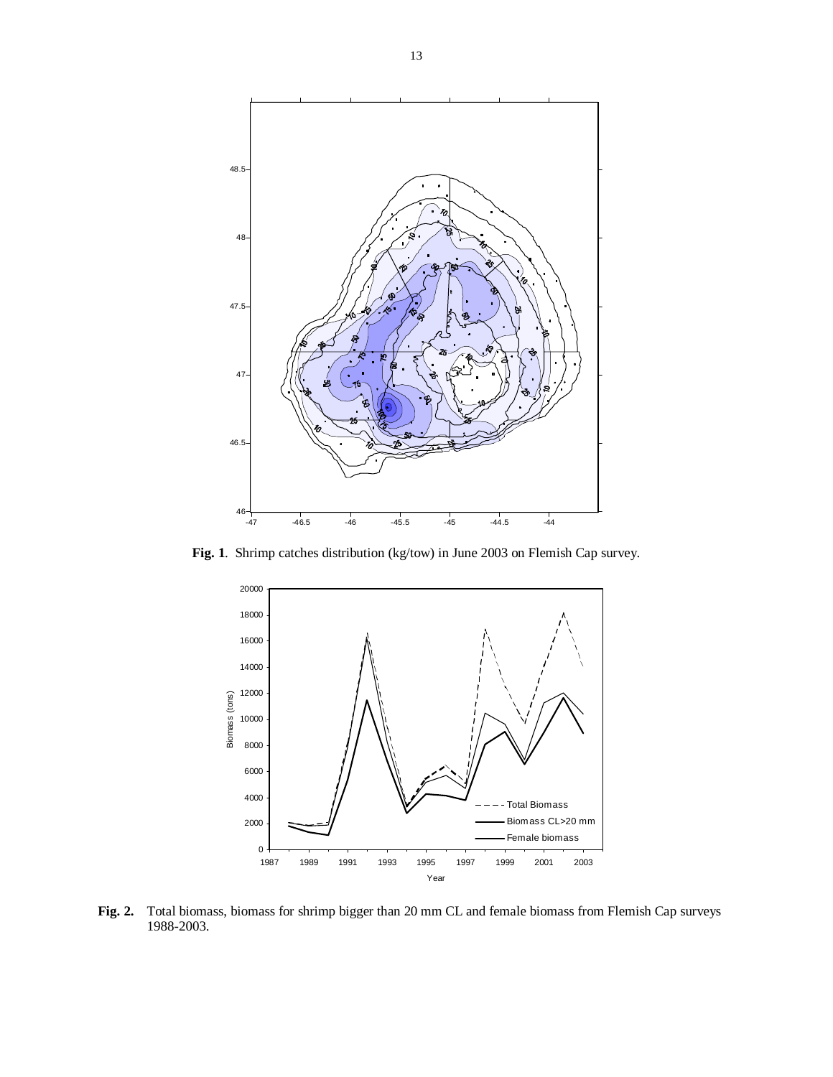

**Fig. 1**. Shrimp catches distribution (kg/tow) in June 2003 on Flemish Cap survey.



**Fig. 2.** Total biomass, biomass for shrimp bigger than 20 mm CL and female biomass from Flemish Cap surveys 1988-2003.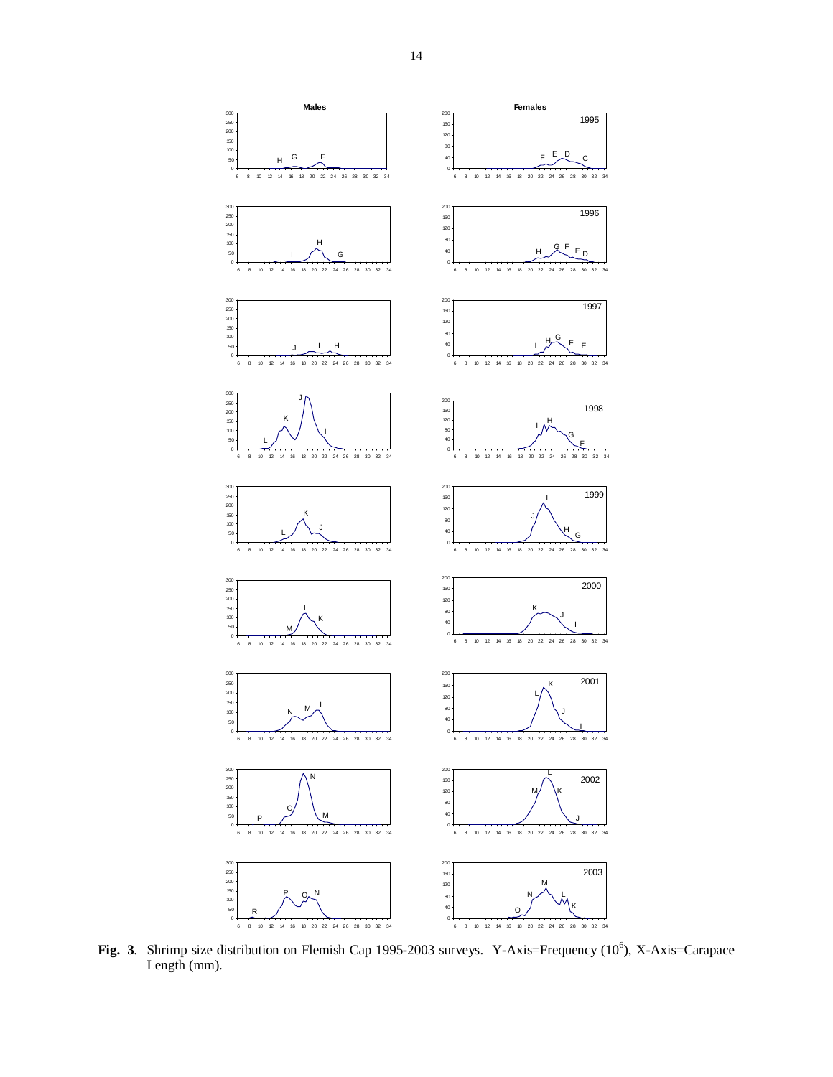

Fig. 3. Shrimp size distribution on Flemish Cap 1995-2003 surveys. Y-Axis=Frequency (10<sup>6</sup>), X-Axis=Carapace Length (mm).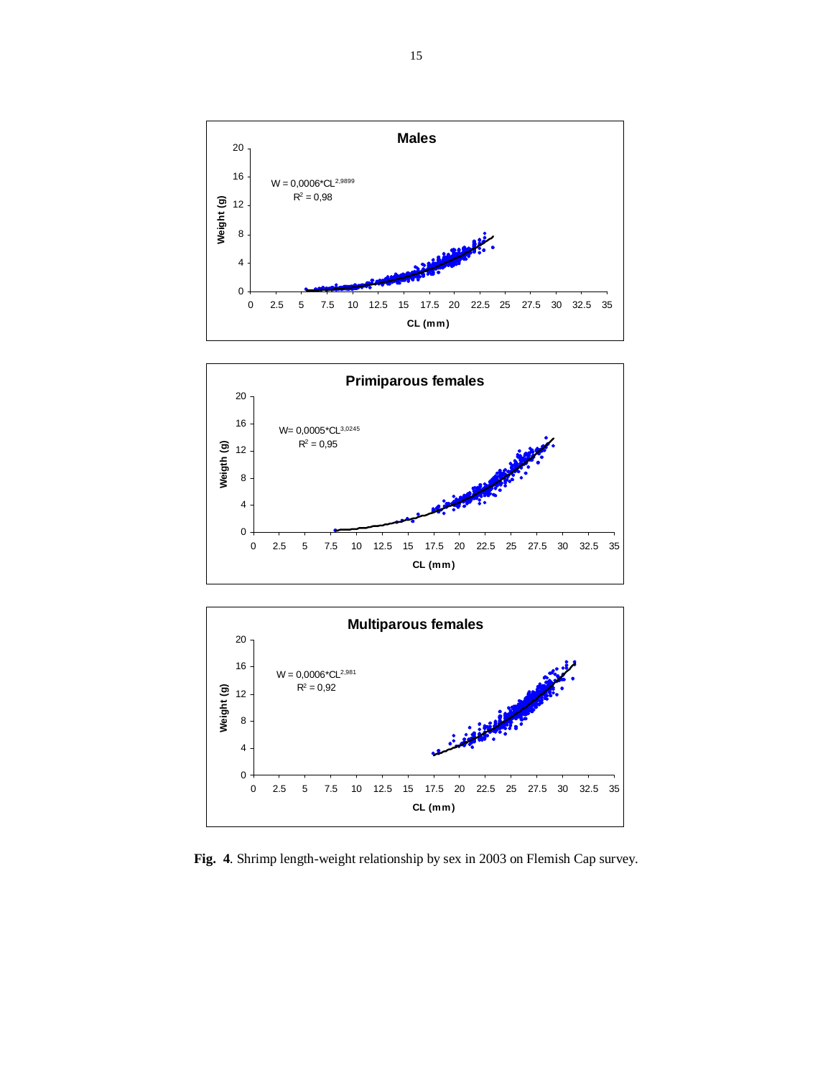





**Fig. 4**. Shrimp length-weight relationship by sex in 2003 on Flemish Cap survey.